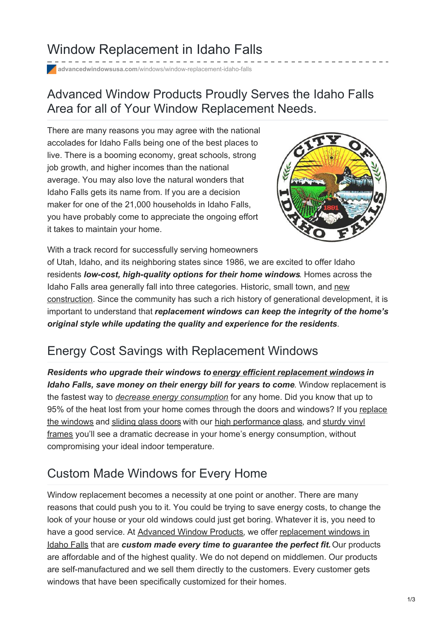# Window Replacement in Idaho Falls

**advancedwindowsusa.com**[/windows/window-replacement-idaho-falls](https://advancedwindowsusa.com/windows/window-replacement-idaho-falls)

### Advanced Window Products Proudly Serves the Idaho Falls Area for all of Your Window Replacement Needs.

There are many reasons you may agree with the national accolades for Idaho Falls being one of the best places to live. There is a booming economy, great schools, strong job growth, and higher incomes than the national average. You may also love the natural wonders that Idaho Falls gets its name from. If you are a decision maker for one of the 21,000 households in Idaho Falls, you have probably come to appreciate the ongoing effort it takes to maintain your home.



With a track record for successfully serving homeowners of Utah, Idaho, and its neighboring states since 1986, we are excited to offer Idaho residents *low-cost, high-quality options for their home windows*. Homes across the Idaho Falls area generally fall into three categories. Historic, small town, and new [construction.](https://advancedwindowsusa.com/new-construction-window-installation) Since the community has such a rich history of generational development, it is important to understand that *replacement windows can keep the integrity of the home's original style while updating the quality and experience for the residents*.

## Energy Cost Savings with Replacement Windows

*Residents who upgrade their windows to energy efficient [replacement](https://advancedwindowsusa.com/energy-efficient-window-replacement-salt-lake-city-utah) windows in Idaho Falls, save money on their energy bill for years to come*. Window replacement is the fastest way to *decrease energy [consumption](https://advancedwindowsusa.com/energy-efficient-window-replacement-salt-lake-city-utah)* for any home. Did you know that up to 95% of the heat lost from your home comes through the doors and windows? If you replace the windows and [sliding](https://advancedwindowsusa.com/patriot-sliding-glass-door) glass doors with our high [performance](https://advancedwindowsusa.com/vinyl-window-replacement) glass, and sturdy vinyl frames you'll see a dramatic decrease in your home's energy [consumption,](https://advancedwindowsusa.com/products) without compromising your ideal indoor temperature.

## Custom Made Windows for Every Home

Window replacement becomes a necessity at one point or another. There are many reasons that could push you to it. You could be trying to save energy costs, to change the look of your house or your old windows could just get boring. Whatever it is, you need to have a good service. At [Advanced](https://advancedwindowsusa.com/) Window Products, we offer [replacement](https://advancedwindowsusa.com/) windows in Idaho Falls that are *custom made every time to guarantee the perfect fit.*Our products are affordable and of the highest quality. We do not depend on middlemen. Our products are self-manufactured and we sell them directly to the customers. Every customer gets windows that have been specifically customized for their homes.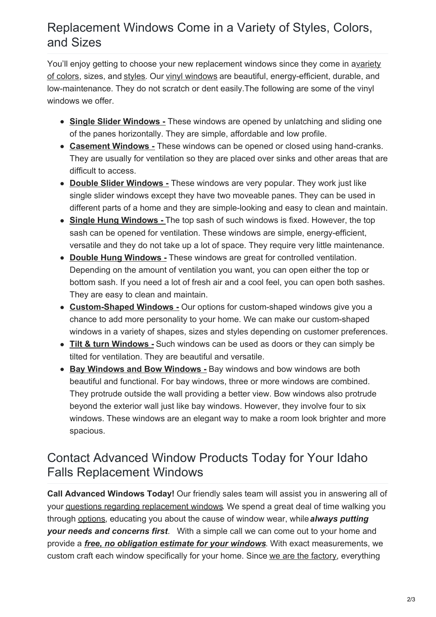#### Replacement Windows Come in a Variety of Styles, Colors, and Sizes

You'll enjoy getting to choose your new replacement windows since they come in avariety of colors, sizes, and [styles](https://advancedwindowsusa.com/how-select-window-operating-styles-fit-space/). Our vinyl [windows](https://advancedwindowsusa.com/vinyl-window-replacement) are beautiful, [energy-efficient,](https://advancedwindowsusa.com/vinyl-window-frame-colors) durable, and low-maintenance. They do not scratch or dent easily.The following are some of the vinyl windows we offer.

- **Single Slider [Windows](https://advancedwindowsusa.com/single-slider-windows) -** These windows are opened by unlatching and sliding one of the panes horizontally. They are simple, affordable and low profile.
- **[Casement](https://advancedwindowsusa.com/casement-windows-utah-imperial-line) Windows -** These windows can be opened or closed using hand-cranks. They are usually for ventilation so they are placed over sinks and other areas that are difficult to access.
- **Double Slider [Windows](https://advancedwindowsusa.com/double-slider-windows) -** These windows are very popular. They work just like single slider windows except they have two moveable panes. They can be used in different parts of a home and they are simple-looking and easy to clean and maintain.
- **Single Hung [Windows](https://advancedwindowsusa.com/single-hung-windows) -** The top sash of such windows is fixed. However, the top sash can be opened for ventilation. These windows are simple, energy-efficient, versatile and they do not take up a lot of space. They require very little maintenance.
- **Double Hung [Windows](https://advancedwindowsusa.com/double-hung-windows) -** These windows are great for controlled ventilation. Depending on the amount of ventilation you want, you can open either the top or bottom sash. If you need a lot of fresh air and a cool feel, you can open both sashes. They are easy to clean and maintain.
- **[Custom-Shaped](https://advancedwindowsusa.com/custom-shaped-windows) Windows -** Our options for custom-shaped windows give you a chance to add more personality to your home. We can make our custom-shaped windows in a variety of shapes, sizes and styles depending on customer preferences.
- **Tilt & turn [Windows](https://advancedwindowsusa.com/tilt-turn-windows) -** Such windows can be used as doors or they can simply be tilted for ventilation. They are beautiful and versatile.
- **Bay [Windows](https://advancedwindowsusa.com/bay-windows-vs-bow-windows) and Bow Windows -** Bay windows and bow windows are both beautiful and functional. For bay windows, three or more windows are combined. They protrude outside the wall providing a better view. Bow windows also protrude beyond the exterior wall just like bay windows. However, they involve four to six windows. These windows are an elegant way to make a room look brighter and more spacious.

#### Contact Advanced Window Products Today for Your Idaho Falls Replacement Windows

**Call Advanced Windows Today!** Our friendly sales team will assist you in answering all of your questions regarding [replacement](https://advancedwindowsusa.com/getting-started-4-questions-ask-starting-home-improvement-project) windows. We spend a great deal of time walking you through [options](https://advancedwindowsusa.com/windows), educating you about the cause of window wear, while*always putting your needs and concerns first*. With a simple call we can come out to your home and provide a *free, no [obligation](https://advancedwindowsusa.com/contact-us) estimate for your windows*. With exact measurements, we custom craft each window specifically for your home. Since we are the [factory](https://advancedwindowsusa.com/benefits-buying-local-window-company-vs-big-box-store), everything